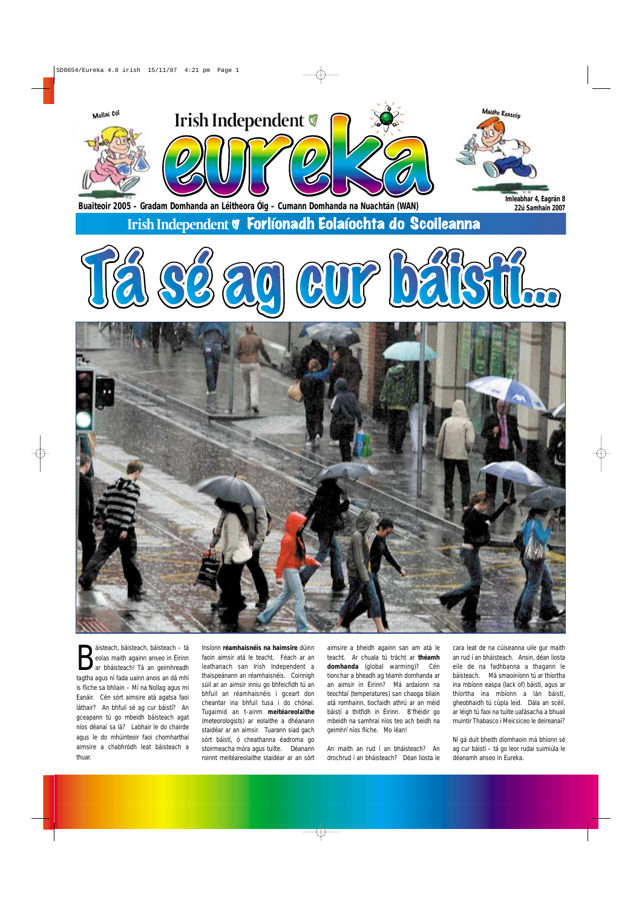Sisteach, báisteach, báisteach – tá<br>
eolas maith againn anseo in Éirinn<br>
tagtha agus ní fada uainn anois an dá mhí áisteach, báisteach, báisteach – tá eolas maith againn anseo in Éirinn ar bháisteach! Tá an geimhreadh is fliche sa bhliain – Mí na Nollag agus mí Eanáir. Cén sórt aimsire atá agatsa faoi láthair? An bhfuil sé ag cur báistí? An gceapann tú go mbeidh báisteach agat níos déanaí sa lá? Labhair le do chairde agus le do mhúinteoir faoi chomharthaí aimsire a chabhródh leat báisteach a thuar.

Insíonn **réamhaisnéis na haimsire** dúinn faoin aimsir atá le teacht. Féach ar an leathanach san Irish Independent a thaispeánann an réamhaisnéis. Coinnigh súil ar an aimsir inniu go bhfeicfidh tú an bhfuil an réamhaisnéis i gceart don cheantar ina bhfuil tusa i do chónaí. Tugaimid an t-ainm **meitéareolaithe** (meteorologists) ar eolaithe a dhéanann staidéar ar an aimsir. Tuarann siad gach sórt báistí, ó cheathanna éadroma go stoirmeacha móra agus tuilte. Déanann roinnt meitéareolaithe staidéar ar an sórt

aimsire a bheidh againn san am atá le teacht. Ar chuala tú trácht ar **théamh domhanda** (global warming)? Cén tionchar a bheadh ag téamh domhanda ar an aimsir in Éirinn? Má ardaíonn na teochtaí (temperatures) san chaoga bliain atá romhainn, tiocfaidh athrú ar an méid báistí a thitfidh in Éirinn. B'fhéidir go mbeidh na samhraí níos teo ach beidh na geimhrí níos fliche. Mo léan!

An maith an rud í an bháisteach? An drochrud í an bháisteach? Déan liosta le

cara leat de na cúiseanna uile gur maith an rud í an bháisteach. Ansin, déan liosta eile de na fadhbanna a thagann le báisteach. Má smaoiníonn tú ar thíortha ina mbíonn easpa (lack of) báistí, agus ar thíortha ina mbíonn a lán báistí, gheobhaidh tú cúpla leid. Dála an scéil, ar léigh tú faoi na tuilte uafásacha a bhuail muintir Thabasco i Meicsiceo le deireanaí?

Ní gá duit bheith díomhaoin má bhíonn sé ag cur báistí – tá go leor rudaí suimiúla le déanamh anseo in Eureka.



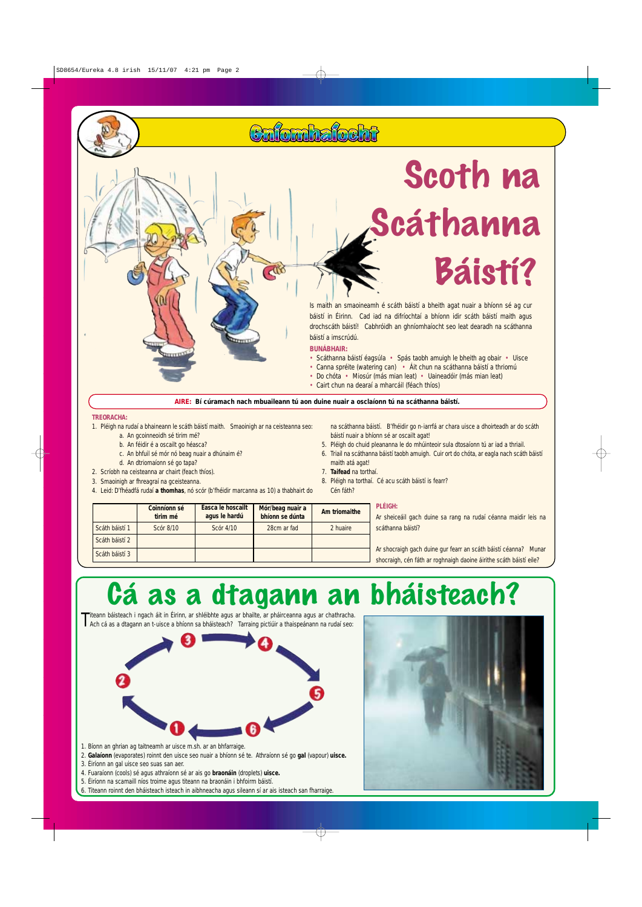#### **TREORACHA:**

- 1. Pléigh na rudaí a bhaineann le scáth báistí maith. Smaoinigh ar na ceisteanna seo:
	- a. An gcoinneoidh sé tirim mé?
	- b. An féidir é a oscailt go héasca?
	- c. An bhfuil sé mór nó beag nuair a dhúnaim é?
	- d. An dtriomaíonn sé go tapa?
- 2. Scríobh na ceisteanna ar chairt (feach thíos).
- 3. Smaoinigh ar fhreagraí na gceisteanna.
- 4. Leid: D'fhéadfá rudaí **a thomhas**, nó scór (b'fhéidir marcanna as 10) a thabhairt do

na scáthanna báistí. B'fhéidir go n-iarrfá ar chara uisce a dhoirteadh ar do scáth báistí nuair a bhíonn sé ar oscailt agat!

- 5. Pléigh do chuid pleananna le do mhúinteoir sula dtosaíonn tú ar iad a thriail.
- 6. Triail na scáthanna báistí taobh amuigh. Cuir ort do chóta, ar eagla nach scáth báistí maith atá agat!
- 7. **Taifead** na torthaí.
- 8. Pléigh na torthaí. Cé acu scáth báistí is fearr? Cén fáth?

Is maith an smaoineamh é scáth báistí a bheith agat nuair a bhíonn sé ag cur báistí in Éirinn. Cad iad na difríochtaí a bhíonn idir scáth báistí maith agus drochscáth báistí! Cabhróidh an ghníomhaíocht seo leat dearadh na scáthanna báistí a imscrúdú.

#### **BUNÁBHAIR:**

Culombalocht

- Scáthanna báistí éagsúla Spás taobh amuigh le bheith ag obair Uisce
- Canna spréite (watering can) Áit chun na scáthanna báistí a thriomú
- Do chóta Miosúr (más mian leat) Uaineadóir (más mian leat)
- Cairt chun na dearaí a mharcáil (féach thíos)



Titeann báisteach i ngach áit in Éirinn, ar shléibhte agus ar bhailte, ar pháirceanna agus ar chathracha. Ach cá as a dtagann an t-uisce a bhíonn sa bháisteach? Tarraing pictiúir a thaispeánann na rudaí seo:





1. Bíonn an ghrian ag taitneamh ar uisce m.sh. ar an bhfarraige.

2. **Galaíonn** (evaporates) roinnt den uisce seo nuair a bhíonn sé te. Athraíonn sé go **gal** (vapour) **uisce.**

3. Éiríonn an gal uisce seo suas san aer.

4. Fuaraíonn (cools) sé agus athraíonn sé ar ais go **braonáin** (droplets) **uisce.**

5. Éiríonn na scamaill níos troime agus titeann na braonáin i bhfoirm báistí.

6. Titeann roinnt den bháisteach isteach in aibhneacha agus sileann sí ar ais isteach san fharraige.

# Cá as a dtagann an bháisteach?

# Scoth na Scáthanna Báistí?

|                | Coinníonn sé<br>tirim mé | <b>Éasca le hoscailt</b><br>agus le hardú | Mór/beag nuair a<br>bhíonn se dúnta | Am triomaithe | <b>PLÉIGH:</b><br>Ar sheiceáil gach duine sa rang na rudaí céanna maidir leis na                                                      |
|----------------|--------------------------|-------------------------------------------|-------------------------------------|---------------|---------------------------------------------------------------------------------------------------------------------------------------|
| Scáth báistí 1 | Scór 8/10                | Scór 4/10                                 | 28cm ar fad                         | 2 huaire      | scáthanna báistí?                                                                                                                     |
| Scáth báistí 2 |                          |                                           |                                     |               |                                                                                                                                       |
| Scáth báistí 3 |                          |                                           |                                     |               | Ar shocraigh gach duine gur fearr an scáth báistí céanna? Munar<br>shocraigh, cén fáth ar roghnaigh daoine áirithe scáth báistí eile? |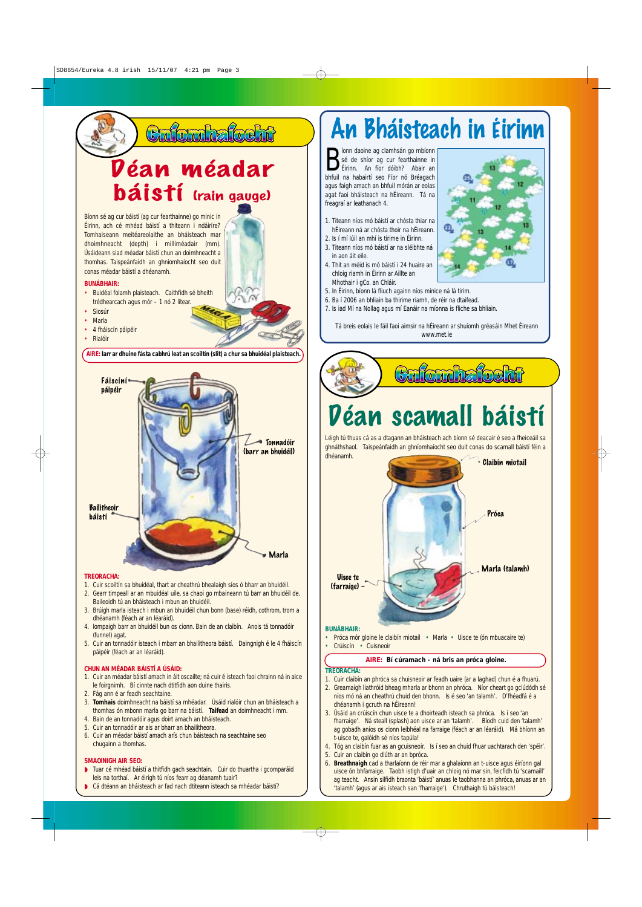## Déan scamall báistí

#### **TREORACHA:**

1. Cuir claibín an phróca sa chuisneoir ar feadh uaire (ar a laghad) chun é a fhuarú.



- Tuar cé mhéad báistí a thitfidh gach seachtain. Cuir do thuartha i gcomparáid leis na torthaí. Ar éirigh tú níos fearr ag déanamh tuair?
- Cá dtéann an bháisteach ar fad nach dtiteann isteach sa mhéadar báistí?
- 2. Greamaigh liathróid bheag mharla ar bhonn an phróca. Níor cheart go gclúdódh sé níos mó ná an cheathrú chuid den bhonn. Is é seo 'an talamh'. D'fhéadfá é a dhéanamh i gcruth na hÉireann!
- 3. Úsáid an crúiscín chun uisce te a dhoirteadh isteach sa phróca. Is í seo 'an fharraige'. Ná steall (splash) aon uisce ar an 'talamh'. Bíodh cuid den 'talamh' ag gobadh aníos os cionn leibhéal na farraige (féach ar an léaráid). Má bhíonn an t-uisce te, galóidh sé níos tapúla!
- 4. Tóg an claibín fuar as an gcuisneoir. Is í seo an chuid fhuar uachtarach den 'spéir'. 5. Cuir an claibín go dlúth ar an bpróca.
- 6. **Breathnaigh** cad a tharlaíonn de réir mar a ghalaíonn an t-uisce agus éiríonn gal uisce ón bhfarraige. Taobh istigh d'uair an chloig nó mar sin, feicfidh tú 'scamaill' ag teacht. Ansin silfidh braonta 'báistí' anuas le taobhanna an phróca, anuas ar an 'talamh' (agus ar ais isteach san 'fharraige'). Chruthaigh tú báisteach!

**Example 3** Sé de shíor ag cumhsán go mbíonn<br>
Sé de shíor ag cur fearthainne in Éirinn. An fíor dóibh? Abair an íonn daoine ag clamhsán go mbíonn sé de shíor ag cur fearthainne in bhfuil na habairtí seo Fíor nó Bréagach agus faigh amach an bhfuil mórán ar eolas agat faoi bháisteach na hÉireann. Tá na freagraí ar leathanach 4.

Léigh tú thuas cá as a dtagann an bháisteach ach bíonn sé deacair é seo a fheiceáil sa ghnáthshaol. Taispeánfaidh an ghníomhaíocht seo duit conas do scamall báistí féin a

- 1. Titeann níos mó báistí ar chósta thiar na hÉireann ná ar chósta thoir na hÉireann.
- 2. Is í mí Iúil an mhí is tirime in Éirinn. 3. Titeann níos mó báistí ar na sléibhte ná
- 4. Thit an méid is mó báistí i 24 huaire an
- chloig riamh in Éirinn ar Aillte an Mhothair i gCo. an Chláir.
- 5. In Éirinn, bíonn lá fliuch againn níos minice ná lá tirim.
- 6. Ba í 2006 an bhliain ba thirime riamh, de réir na dtaifead.
- 7. Is iad Mí na Nollag agus mí Eanáir na míonna is fliche sa bhliain.

Tá breis eolais le fáil faoi aimsir na hÉireann ar shuíomh gréasáin Mhet Éireann www.met.ie



### Cafornhafocht



### An Bháisteach in Éirinn



#### **AIRE: Bí cúramach - ná bris an próca gloine.**

- 1. Cuir scoiltín sa bhuidéal, thart ar cheathrú bhealaigh síos ó bharr an bhuidéil.
- 2. Gearr timpeall ar an mbuidéal uile, sa chaoi go mbaineann tú barr an bhuidéil de. Baileoidh tú an bháisteach i mbun an bhuidéil.
- 3. Brúigh marla isteach i mbun an bhuidéil chun bonn (base) réidh, cothrom, trom a dhéanamh (féach ar an léaráid).
- 4. Iompaigh barr an bhuidéil bun os cionn. Bain de an claibín. Anois tá tonnadóir (funnel) agat.
- 5. Cuir an tonnadóir isteach i mbarr an bhailitheora báistí. Daingnigh é le 4 fháiscín páipéir (féach ar an léaráid).

#### **CHUN AN MÉADAR BÁISTÍ A ÚSÁID:**

1. Cuir an méadar báistí amach in áit oscailte; ná cuir é isteach faoi chrainn ná in aice le foirgnimh. Bí cinnte nach dtitfidh aon duine thairis.

- 2. Fág ann é ar feadh seachtaine.
- 3. **Tomhais** doimhneacht na báistí sa mhéadar. Úsáid rialóir chun an bháisteach a thomhas ón mbonn marla go barr na báistí. **Taifead** an doimhneacht i mm.
- 4. Bain de an tonnadóir agus doirt amach an bháisteach.
- 5. Cuir an tonnadóir ar ais ar bharr an bhailitheora.
- 6. Cuir an méadar báistí amach arís chun báisteach na seachtaine seo chugainn a thomhas.

#### **SMAOINIGH AIR SEO:**